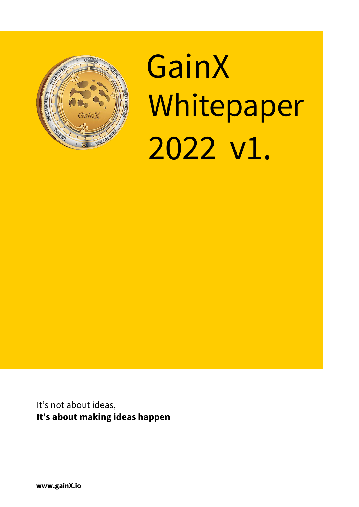

# GainX Whitepaper 2022 v1.

It's not about ideas, **It's about making ideas happen**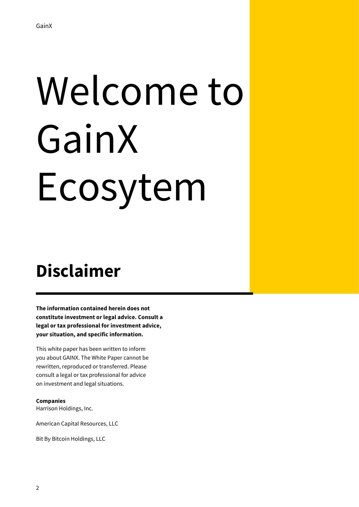# Welcome to GainX Ecosytem

### **Disclaimer**

**The information contained herein does not constitute investment or legal advice. Consult a legal or tax professional for investment advice, your situation, and specific information.**

This white paper has been written to inform you about GAINX. The White Paper cannot be rewritten, reproduced or transferred. Please consult a legal or tax professional for advice on investment and legal situations.

**Companies** Harrison Holdings, Inc.

American Capital Resources, LLC

Bit By Bitcoin Holdings, LLC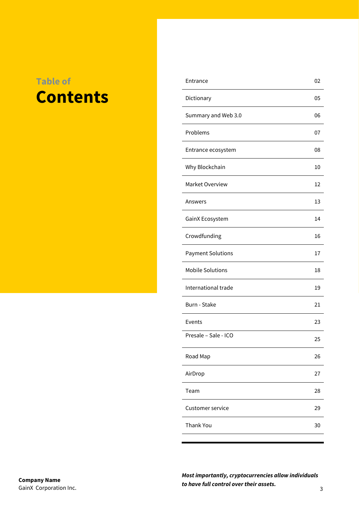### **Table of Contents**

| Entrance                 | 02 |
|--------------------------|----|
| Dictionary               | 05 |
| Summary and Web 3.0      | 06 |
| Problems                 | 07 |
| Entrance ecosystem       | 08 |
| Why Blockchain           | 10 |
| Market Overview          | 12 |
| Answers                  | 13 |
| GainX Ecosystem          | 14 |
| Crowdfunding             | 16 |
| <b>Payment Solutions</b> | 17 |
| <b>Mobile Solutions</b>  | 18 |
| International trade      | 19 |
| Burn - Stake             | 21 |
| Events                   | 23 |
| Presale - Sale - ICO     | 25 |
| Road Map                 | 26 |
| AirDrop                  | 27 |
| Team                     | 28 |
| <b>Customer service</b>  | 29 |
| <b>Thank You</b>         | 30 |
|                          |    |

*Most importantly, cryptocurrencies allow individuals*  **company Name** *to have full control over their assets.* **Company Name** *to have full control over their assets.*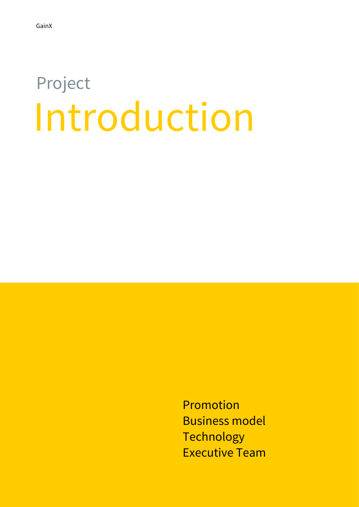# Project Introduction

Promotion Business model **Technology** Executive Team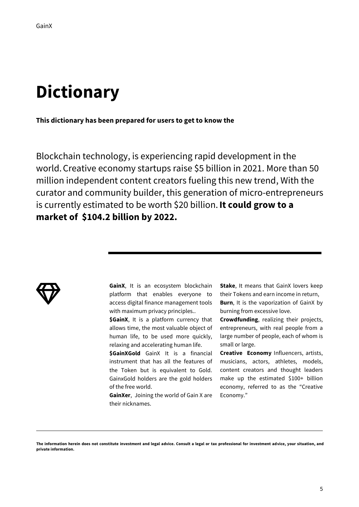### **Dictionary**

**This dictionary has been prepared for users to get to know the** 

Blockchain technology, is experiencing rapid development in the world.Creative economy startups raise \$5 billion in 2021. More than 50 million independent content creators fueling this new trend, With the curator and community builder, this generation of micro-entrepreneurs is currently estimated to be worth \$20 billion.**It could grow to a market of \$104.2 billion by 2022.**



**GainX**, It is an ecosystem blockchain platform that enables everyone to access digital finance management tools with maximum privacy principles..

**\$GainX**, It is a platform currency that allows time, the most valuable object of human life, to be used more quickly, relaxing and accelerating human life.

**\$GainXGold** GainX It is a financial instrument that has all the features of the Token but is equivalent to Gold. GainxGold holders are the gold holders of the free world.

**GainXer**, Joining the world of Gain X are their nicknames.

**Stake**, It means that GainX lovers keep their Tokens and earn income in return, **Burn**, It is the vaporization of GainX by burning from excessive love.

**Crowdfunding**, realizing their projects, entrepreneurs, with real people from a large number of people, each of whom is small or large.

**Creative Economy** Influencers, artists, musicians, actors, athletes, models, content creators and thought leaders make up the estimated \$100+ billion economy, referred to as the "Creative Economy."

**The information herein does not constitute investment and legal advice. Consult a legal or tax professional for investment advice, your situation, and private information.**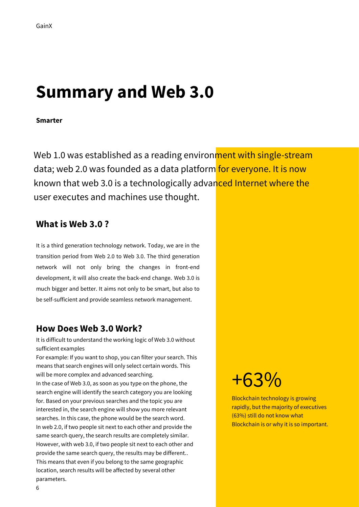### **Summary and Web 3.0**

#### **Smarter**

Web 1.0 was established as a reading environment with single-stream data; web 2.0 was founded as a data platform for everyone. It is now known that web 3.0 is a technologically advanced Internet where the user executes and machines use thought.

#### **What is Web 3.0 ?**

It is a third generation technology network. Today, we are in the transition period from Web 2.0 to Web 3.0. The third generation network will not only bring the changes in front-end development, it will also create the back-end change. Web 3.0 is much bigger and better. It aims not only to be smart, but also to be self-sufficient and provide seamless network management.

#### **How Does Web 3.0 Work?**

It is difficult to understand the working logic of Web 3.0 without sufficient examples

For example: If you want to shop, you can filter your search. This means that search engines will only select certain words. This will be more complex and advanced searching. In the case of Web 3.0, as soon as you type on the phone, the search engine will identify the search category you are looking for. Based on your previous searches and the topic you are interested in, the search engine will show you more relevant searches. In this case, the phone would be the search word. In web 2.0, if two people sit next to each other and provide the same search query, the search results are completely similar. However, with web 3.0, if two people sit next to each other and provide the same search query, the results may be different.. This means that even if you belong to the same geographic location, search results will be affected by several other parameters.

### $+63%$

Blockchain technology is growing rapidly, but the majority of executives (63%) still do not know what Blockchain is or why it is so important.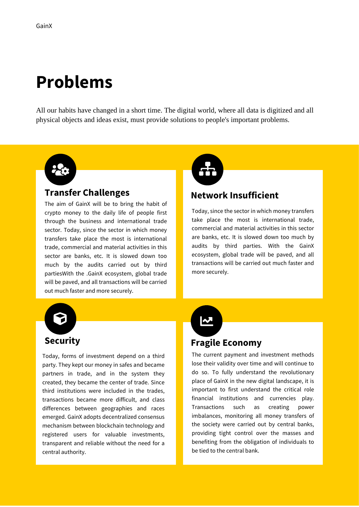### **Problems**

All our habits have changed in a short time. The digital world, where all data is digitized and all physical objects and ideas exist, must provide solutions to people's important problems.



#### **Transfer Challenges**

The aim of GainX will be to bring the habit of crypto money to the daily life of people first through the business and international trade sector. Today, since the sector in which money transfers take place the most is international trade, commercial and material activities in this sector are banks, etc. It is slowed down too much by the audits carried out by third partiesWith the .GainX ecosystem, global trade will be paved, and all transactions will be carried out much faster and more securely.



Today, forms of investment depend on a third party. They kept our money in safes and became partners in trade, and in the system they created, they became the center of trade. Since third institutions were included in the trades, transactions became more difficult, and class differences between geographies and races emerged. GainX adopts decentralized consensus mechanism between blockchain technology and registered users for valuable investments, transparent and reliable without the need for a central authority.



#### **Network Insufficient**

Today, since the sector in which money transfers take place the most is international trade, commercial and material activities in this sector are banks, etc. It is slowed down too much by audits by third parties. With the GainX ecosystem, global trade will be paved, and all transactions will be carried out much faster and more securely.



#### **Fragile Economy**

The current payment and investment methods lose their validity over time and will continue to do so. To fully understand the revolutionary place of GainX in the new digital landscape, it is important to first understand the critical role financial institutions and currencies play. Transactions such as creating power imbalances, monitoring all money transfers of the society were carried out by central banks, providing tight control over the masses and benefiting from the obligation of individuals to be tied to the central bank.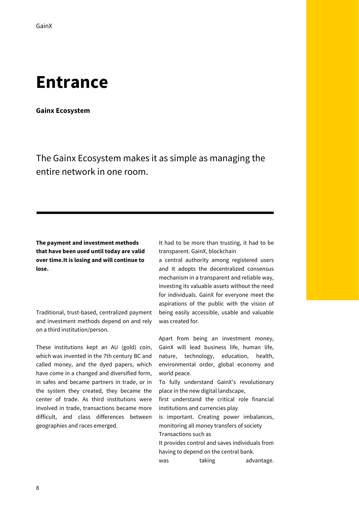### **Entrance**

**Gainx Ecosystem**

The Gainx Ecosystem makes it as simple as managing the entire network in one room.

**The payment and investment methods that have been used until today are valid over time.It is losing and will continue to lose.**

Traditional, trust-based, centralized payment and investment methods depend on and rely on a third institution/person.

These institutions kept an AU (gold) coin, which was invented in the 7th century BC and called money, and the dyed papers, which have come in a changed and diversified form, in safes and became partners in trade, or in the system they created, they became the center of trade. As third institutions were involved in trade, transactions became more difficult, and class differences between geographies and races emerged.

It had to be more than trusting, it had to be transparent. GainX, blockchain

a central authority among registered users and It adopts the decentralized consensus mechanism in a transparent and reliable way, investing its valuable assets without the need for individuals. GainX for everyone meet the aspirations of the public with the vision of being easily accessible, usable and valuable was created for.

Apart from being an investment money, GainX will lead business life, human life, nature, technology, education, health, environmental order, global economy and world peace.

To fully understand GainX's revolutionary place in the new digital landscape,

first understand the critical role financial institutions and currencies play

is important. Creating power imbalances, monitoring all money transfers of society Transactions such as

It provides control and saves individuals from having to depend on the central bank.

was taking advantage.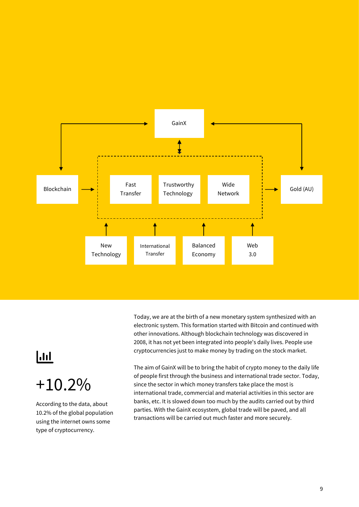

Today, we are at the birth of a new monetary system synthesized with an electronic system. This formation started with Bitcoin and continued with other innovations. Although blockchain technology was discovered in 2008, it has not yet been integrated into people's daily lives. People use cryptocurrencies just to make money by trading on the stock market.

#### The aim of GainX will be to bring the habit of crypto money to the daily life of people first through the business and international trade sector. Today, since the sector in which money transfers take place the most is international trade, commercial and material activities in this sector are banks, etc. It is slowed down too much by the audits carried out by third parties. With the GainX ecosystem, global trade will be paved, and all transactions will be carried out much faster and more securely.

### $\mathbf{L}$

### +10.2%

According to the data, about 10.2% of the global population using the internet owns some type of cryptocurrency.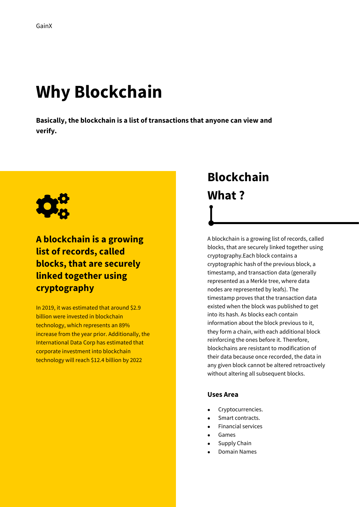### **Why Blockchain**

**Basically, the blockchain is a list of transactions that anyone can view and verify.**



#### **A blockchain is a growing list of records, called blocks, that are securely linked together using cryptography**

In 2019, it was estimated that around \$2.9 billion were invested in blockchain technology, which represents an 89% increase from the year prior. Additionally, the International Data Corp has estimated that corporate investment into blockchain technology will reach \$12.4 billion by 2022

### **Blockchain What ?**

A blockchain is a growing list of records, called blocks, that are securely linked together using cryptography.Each block contains a cryptographic hash of the previous block, a timestamp, and transaction data (generally represented as a Merkle tree, where data nodes are represented by leafs). The timestamp proves that the transaction data existed when the block was published to get into its hash. As blocks each contain information about the block previous to it, they form a chain, with each additional block reinforcing the ones before it. Therefore, blockchains are resistant to modification of their data because once recorded, the data in any given block cannot be altered retroactively without altering all subsequent blocks.

#### **Uses Area**

- Cryptocurrencies.
- Smart contracts.
- Financial services
- Games
- Supply Chain
- Domain Names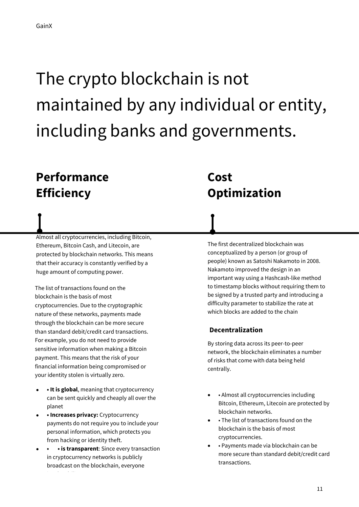### The crypto blockchain is not maintained by any individual or entity, including banks and governments.

### **Performance Efficiency**

Almost all cryptocurrencies, including Bitcoin, Ethereum, Bitcoin Cash, and Litecoin, are protected by blockchain networks. This means that their accuracy is constantly verified by a huge amount of computing power.

The list of transactions found on the blockchain is the basis of most cryptocurrencies. Due to the cryptographic nature of these networks, payments made through the blockchain can be more secure than standard debit/credit card transactions. For example, you do not need to provide sensitive information when making a Bitcoin payment. This means that the risk of your financial information being compromised or your identity stolen is virtually zero.

- **It is global**, meaning that cryptocurrency can be sent quickly and cheaply all over the planet
- **Increases privacy:** Cryptocurrency payments do not require you to include your personal information, which protects you from hacking or identity theft.
- **• is transparent**: Since every transaction in cryptocurrency networks is publicly broadcast on the blockchain, everyone inceleyebilir.

### **Cost Optimization**

The first decentralized blockchain was conceptualized by a person (or group of people) known as Satoshi Nakamoto in 2008. Nakamoto improved the design in an important way using a Hashcash-like method to timestamp blocks without requiring them to be signed by a trusted party and introducing a difficulty parameter to stabilize the rate at which blocks are added to the chain

#### **Decentralization**

By storing data across its peer-to-peer network, the blockchain eliminates a number of risks that come with data being held centrally.

- • Almost all cryptocurrencies including Bitcoin, Ethereum, Litecoin are protected by blockchain networks.
- • The list of transactions found on the blockchain is the basis of most cryptocurrencies.
- • Payments made via blockchain can be more secure than standard debit/credit card transactions.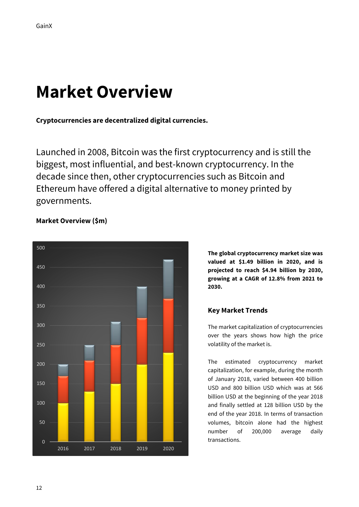### **Market Overview**

**Cryptocurrencies are decentralized digital currencies.**

Launched in 2008, Bitcoin was the first cryptocurrency and is still the biggest, most influential, and best-known cryptocurrency. In the decade since then, other cryptocurrencies such as Bitcoin and Ethereum have offered a digital alternative to money printed by governments.



#### **Market Overview (\$m)**

**The global cryptocurrency market size was valued at \$1.49 billion in 2020, and is projected to reach \$4.94 billion by 2030, growing at a CAGR of 12.8% from 2021 to 2030.**

#### **Key Market Trends**

The market capitalization of cryptocurrencies over the years shows how high the price volatility of the market is.

The estimated cryptocurrency market capitalization, for example, during the month of January 2018, varied between 400 billion USD and 800 billion USD which was at 566 billion USD at the beginning of the year 2018 and finally settled at 128 billion USD by the end of the year 2018. In terms of transaction volumes, bitcoin alone had the highest number of 200,000 average daily transactions.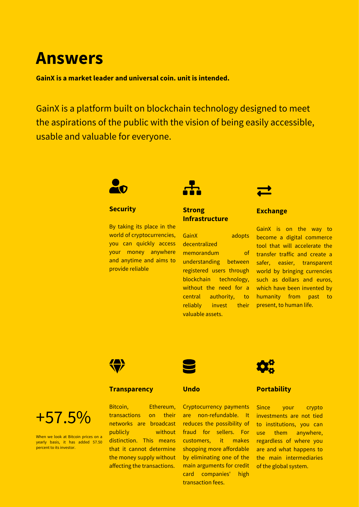### **Answers**

**GainX is a market leader and universal coin. unit is intended.**

GainX is a platform built on blockchain technology designed to meet the aspirations of the public with the vision of being easily accessible, usable and valuable for everyone.



#### **Security**

By taking its place in the world of cryptocurrencies, you can quickly access your money anywhere and anytime and aims to provide reliable

| $\mathcal{L}^{\text{max}}_{\text{max}}$ and $\mathcal{L}^{\text{max}}_{\text{max}}$ and $\mathcal{L}^{\text{max}}_{\text{max}}$ | and the state of the state of the state of the state of the state of the state of the state of the state of th | <b>Contract Contract Contract Contract Contract Contract Contract Contract Contract Contract Contract Contract C</b> |
|---------------------------------------------------------------------------------------------------------------------------------|----------------------------------------------------------------------------------------------------------------|----------------------------------------------------------------------------------------------------------------------|

#### **Strong Infrastructure**

GainX adopts decentralized memorandum of understanding between registered users through blockchain technology, without the need for a central authority, to reliably invest their valuable assets.



#### **Exchange**

GainX is on the way to become a digital commerce tool that will accelerate the transfer traffic and create a safer, easier, transparent world by bringing currencies such as dollars and euros, which have been invented by humanity from past to present, to human life.



#### **Transparency**



When we look at Bitcoin prices on a yearly basis, it has added 57.50 percent to its investor.

Bitcoin, Ethereum, transactions on their networks are broadcast publicly without distinction. This means that it cannot determine the money supply without affecting the transactions.



Cryptocurrency payments are non-refundable. It reduces the possibility of fraud for sellers. For customers, it makes shopping more affordable by eliminating one of the main arguments for credit card companies' high transaction fees.



#### **Portability**

Since your crypto investments are not tied to institutions, you can use them anywhere, regardless of where you are and what happens to the main intermediaries of the global system.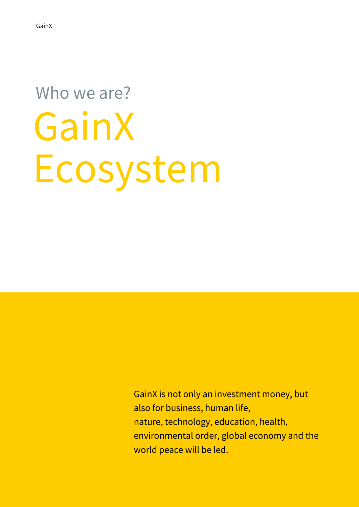# Who we are? GainX Ecosystem

GainX is not only an investment money, but also for business, human life, nature, technology, education, health, environmental order, global economy and the world peace will be led.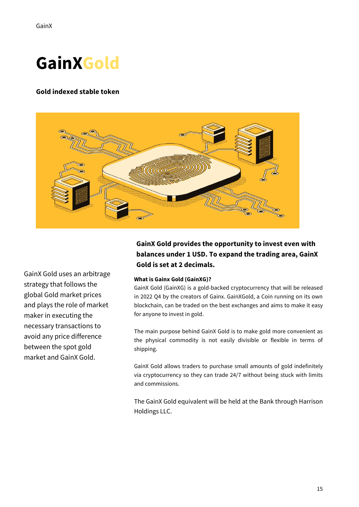### **GainXGold**

#### **Gold indexed stable token**



GainX Gold uses an arbitrage strategy that follows the global Gold market prices and plays the role of market maker in executing the necessary transactions to avoid any price difference between the spot gold market and GainX Gold.

#### **GainX Gold provides the opportunity to invest even with balances under 1 USD. To expand the trading area, GainX Gold is set at 2 decimals.**

#### **What is Gainx Gold (GainXG)?**

GainX Gold (GainXG) is a gold-backed cryptocurrency that will be released in 2022 Q4 by the creators of Gainx. GainXGold, a Coin running on its own blockchain, can be traded on the best exchanges and aims to make it easy for anyone to invest in gold.

The main purpose behind GainX Gold is to make gold more convenient as the physical commodity is not easily divisible or flexible in terms of shipping.

GainX Gold allows traders to purchase small amounts of gold indefinitely via cryptocurrency so they can trade 24/7 without being stuck with limits and commissions.

The GainX Gold equivalent will be held at the Bank through Harrison Holdings LLC.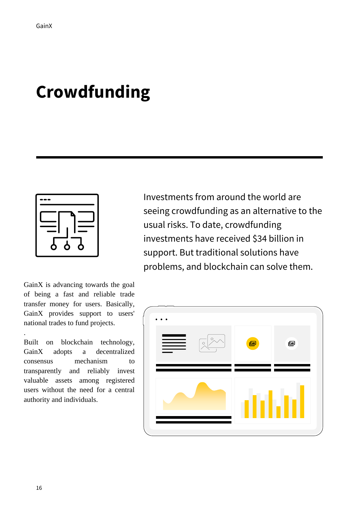### **Crowdfunding**



GainX is advancing towards the goal of being a fast and reliable trade transfer money for users. Basically, GainX provides support to users' national trades to fund projects.

Built on blockchain technology, GainX adopts a decentralized consensus mechanism to transparently and reliably invest valuable assets among registered users without the need for a central authority and individuals.

Investments from around the world are seeing crowdfunding as an alternative to the usual risks. To date, crowdfunding investments have received \$34 billion in support. But traditional solutions have problems, and blockchain can solve them.



.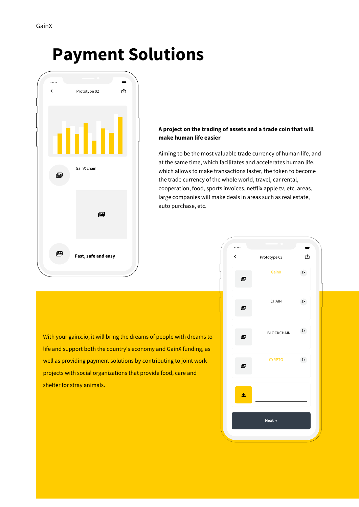### **Payment Solutions**



#### **A project on the trading of assets and a trade coin that will make human life easier**

Aiming to be the most valuable trade currency of human life, and at the same time, which facilitates and accelerates human life, which allows to make transactions faster, the token to become the trade currency of the whole world, travel, car rental, cooperation, food, sports invoices, netflix apple tv, etc. areas, large companies will make deals in areas such as real estate, auto purchase, etc.

With your gainx.io, it will bring the dreams of people with dreams to life and support both the country's economy and GainX funding, as well as providing payment solutions by contributing to joint work projects with social organizations that provide food, care and shelter for stray animals.

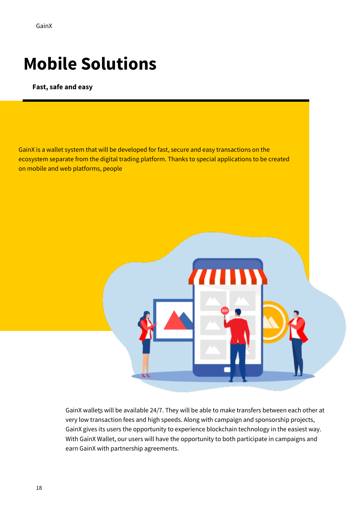### **Mobile Solutions**

**Fast, safe and easy**

GainX is a wallet system that will be developed for fast, secure and easy transactions on the ecosystem separate from the digital trading platform. Thanks to special applications to be created on mobile and web platforms, people



 – GainX wallets will be available 24/7. They will be able to make transfers between each other at very low transaction fees and high speeds. Along with campaign and sponsorship projects, GainX gives its users the opportunity to experience blockchain technology in the easiest way. With GainX Wallet, our users will have the opportunity to both participate in campaigns and earn GainX with partnership agreements.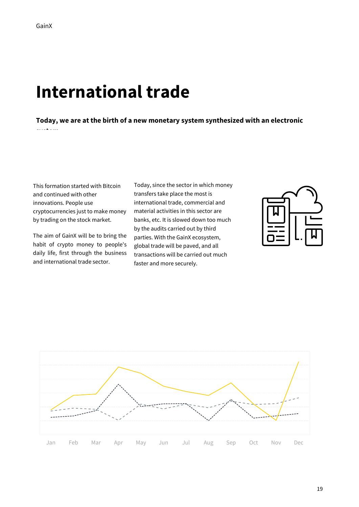### **International trade**

**Today, we are at the birth of a new monetary system synthesized with an electronic system.**

This formation started with Bitcoin and continued with other innovations. People use cryptocurrencies just to make money by trading on the stock market.

The aim of GainX will be to bring the habit of crypto money to people's daily life, first through the business and international trade sector.

Today, since the sector in which money transfers take place the most is international trade, commercial and material activities in this sector are banks, etc. It is slowed down too much by the audits carried out by third parties. With the GainX ecosystem, global trade will be paved, and all transactions will be carried out much faster and more securely.





Jan Feb Mar Apr May Jun Jul Aug Sep Oct Nov Dec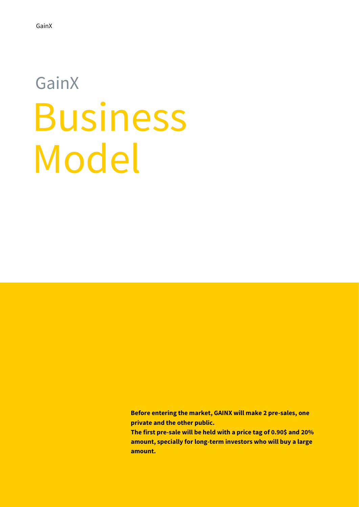# GainX Business Model

**Before entering the market, GAINX will make 2 pre-sales, one private and the other public.**

**The first pre-sale will be held with a price tag of 0.90\$ and 20% amount, specially for long-term investors who will buy a large amount.**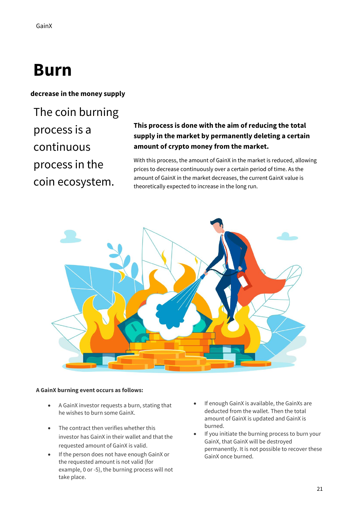### **Burn**

**decrease in the money supply**

The coin burning process is a continuous process in the coin ecosystem.

#### **This process is done with the aim of reducing the total supply in the market by permanently deleting a certain amount of crypto money from the market.**

With this process, the amount of GainX in the market is reduced, allowing prices to decrease continuously over a certain period of time. As the amount of GainX in the market decreases, the current GainX value is theoretically expected to increase in the long run.



#### **A GainX burning event occurs as follows:**

- A GainX investor requests a burn, stating that he wishes to burn some GainX.
- The contract then verifies whether this investor has GainX in their wallet and that the requested amount of GainX is valid.
- If the person does not have enough GainX or the requested amount is not valid (for example, 0 or -5), the burning process will not take place.
- If enough GainX is available, the GainXs are deducted from the wallet. Then the total amount of GainX is updated and GainX is burned.
- If you initiate the burning process to burn your GainX, that GainX will be destroyed permanently. It is not possible to recover these GainX once burned.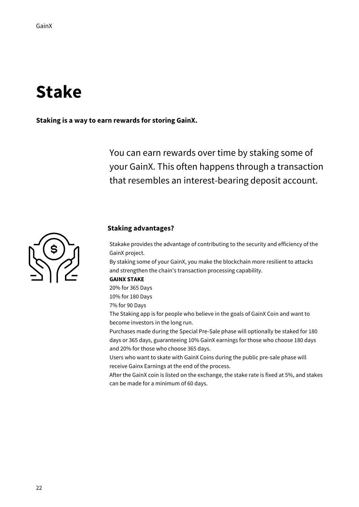### **Stake**

**Staking is a way to earn rewards for storing GainX.**

You can earn rewards over time by staking some of your GainX. This often happens through a transaction that resembles an interest-bearing deposit account.



#### **Staking advantages?**

Stakake provides the advantage of contributing to the security and efficiency of the GainX project.

By staking some of your GainX, you make the blockchain more resilient to attacks and strengthen the chain's transaction processing capability.

#### **GAINX STAKE**

20% for 365 Days

10% for 180 Days

7% for 90 Days

The Staking app is for people who believe in the goals of GainX Coin and want to become investors in the long run.

Purchases made during the Special Pre-Sale phase will optionally be staked for 180 days or 365 days, guaranteeing 10% GainX earnings for those who choose 180 days and 20% for those who choose 365 days.

Users who want to skate with GainX Coins during the public pre-sale phase will receive Gainx Earnings at the end of the process.

After the GainX coin is listed on the exchange, the stake rate is fixed at 5%, and stakes can be made for a minimum of 60 days.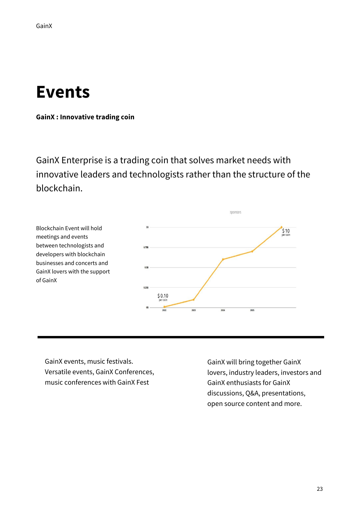### **Events**

**GainX : Innovative trading coin**

GainX Enterprise is a trading coin that solves market needs with innovative leaders and technologists rather than the structure of the blockchain.



GainX events, music festivals. Versatile events, GainX Conferences, music conferences with GainX Fest

GainX will bring together GainX lovers, industry leaders, investors and GainX enthusiasts for GainX discussions, Q&A, presentations, open source content and more.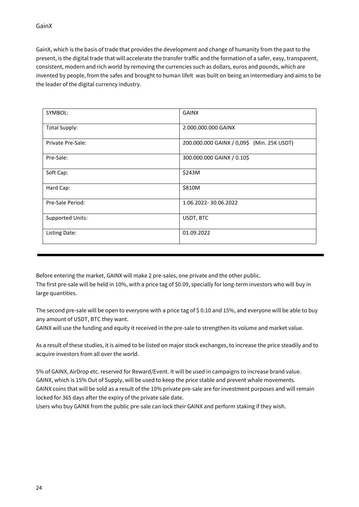GainX

GainX, which is the basis of trade that provides the development and change of humanity from the past to the present, is the digital trade that will accelerate the transfer traffic and the formation of a safer, easy, transparent, consistent, modern and rich world by removing the currencies such as dollars, euros and pounds, which are invented by people, from the safes and brought to human lifeIt was built on being an intermediary and aims to be the leader of the digital currency industry.

| SYMBOL:                 | <b>GAINX</b>                               |  |
|-------------------------|--------------------------------------------|--|
| <b>Total Supply:</b>    | 2.000.000.000 GAINX                        |  |
| Private Pre-Sale:       | 200.000.000 GAINX / 0,09\$ (Min. 25K USDT) |  |
| Pre-Sale:               | 300.000.000 GAINX / 0.10\$                 |  |
| Soft Cap:               | \$243M                                     |  |
| Hard Cap:               | \$810M                                     |  |
| Pre-Sale Period:        | 1.06.2022-30.06.2022                       |  |
| <b>Supported Units:</b> | USDT, BTC                                  |  |
| Listing Date:           | 01.09.2022                                 |  |

Before entering the market, GAINX will make 2 pre-sales, one private and the other public. The first pre-sale will be held in 10%, with a price tag of \$0.09, specially for long-term investors who will buy in large quantities.

The second pre-sale will be open to everyone with a price tag of \$0.10 and 15%, and everyone will be able to buy any amount of USDT, BTC they want.

GAINX will use the funding and equity it received in the pre-sale to strengthen its volume and market value.

As a result of these studies, it is aimed to be listed on major stock exchanges, to increase the price steadily and to acquire investors from all over the world.

5% of GAINX, AirDrop etc. reserved for Reward/Event. It will be used in campaigns to increase brand value. GAINX, which is 15% Out of Supply, will be used to keep the price stable and prevent whale movements. GAINX coins that will be sold as a result of the 10% private pre-sale are for investment purposes and will remain locked for 365 days after the expiry of the private sale date.

Users who buy GAINX from the public pre-sale can lock their GAINX and perform staking if they wish.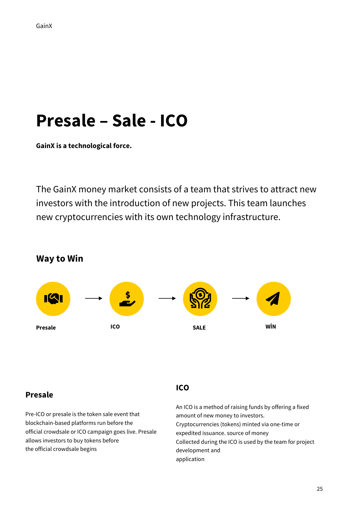### **Presale – Sale - ICO**

**GainX is a technological force.**

**Way to Win**

The GainX money market consists of a team that strives to attract new investors with the introduction of new projects. This team launches new cryptocurrencies with its own technology infrastructure.



#### **Presale**

Pre-ICO or presale is the token sale event that blockchain-based platforms run before the official crowdsale or ICO campaign goes live. Presale allows investors to buy tokens before the official crowdsale begins

#### **ICO**

An ICO is a method of raising funds by offering a fixed amount of new money to investors. Cryptocurrencies (tokens) minted via one-time or expedited issuance. source of money Collected during the ICO is used by the team for project development and application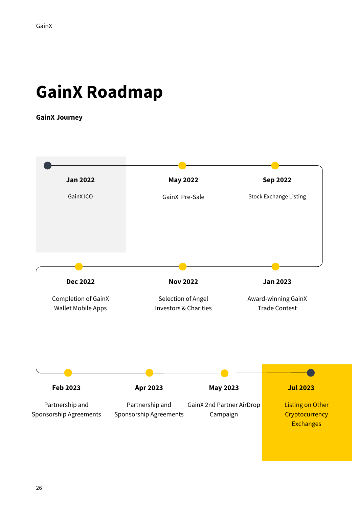### **GainX Roadmap**

**GainX Journey**

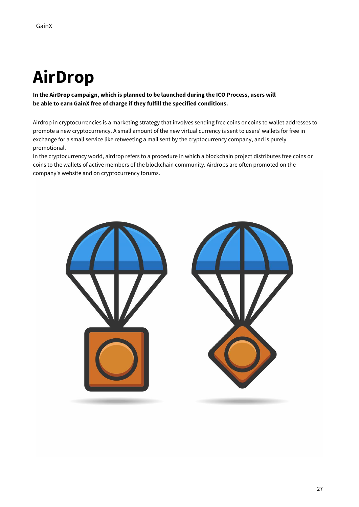### **AirDrop**

**In the AirDrop campaign, which is planned to be launched during the ICO Process, users will be able to earn GainX free of charge if they fulfill the specified conditions.**

Airdrop in cryptocurrencies is a marketing strategy that involves sending free coins or coins to wallet addresses to promote a new cryptocurrency. A small amount of the new virtual currency is sent to users' wallets for free in exchange for a small service like retweeting a mail sent by the cryptocurrency company, and is purely promotional.

In the cryptocurrency world, airdrop refers to a procedure in which a blockchain project distributes free coins or coins to the wallets of active members of the blockchain community. Airdrops are often promoted on the company's website and on cryptocurrency forums.

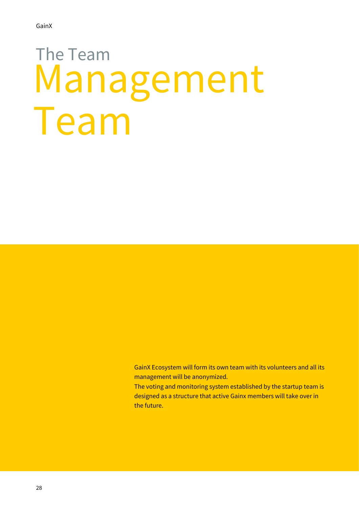## The Team Management Team

GainX Ecosystem will form its own team with its volunteers and all its management will be anonymized.

The voting and monitoring system established by the startup team is designed as a structure that active Gainx members will take over in the future.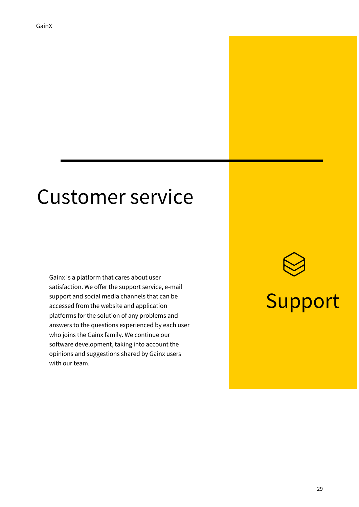### Customer service

Gainx is a platform that cares about user satisfaction. We offer the support service, e-mail support and social media channels that can be accessed from the website and application platforms for the solution of any problems and answers to the questions experienced by each user who joins the Gainx family. We continue our software development, taking into account the opinions and suggestions shared by Gainx users with our team.